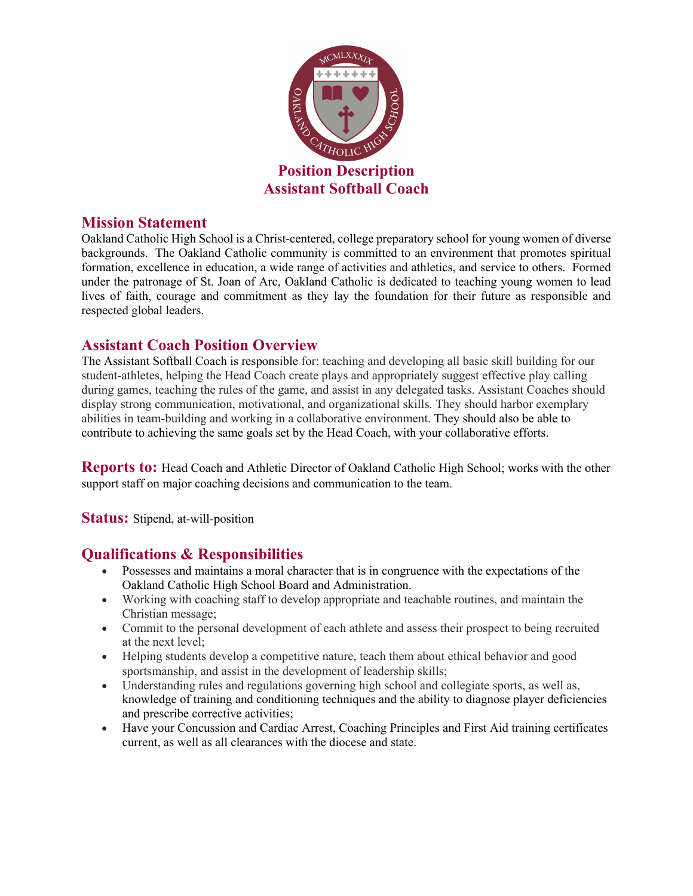

#### **Mission Statement**

Oakland Catholic High School is a Christ-centered, college preparatory school for young women of diverse backgrounds. The Oakland Catholic community is committed to an environment that promotes spiritual formation, excellence in education, a wide range of activities and athletics, and service to others. Formed under the patronage of St. Joan of Arc, Oakland Catholic is dedicated to teaching young women to lead lives of faith, courage and commitment as they lay the foundation for their future as responsible and respected global leaders.

#### **Assistant Coach Position Overview**

The Assistant Softball Coach is responsible for: teaching and developing all basic skill building for our student-athletes, helping the Head Coach create plays and appropriately suggest effective play calling during games, teaching the rules of the game, and assist in any delegated tasks. Assistant Coaches should display strong communication, motivational, and organizational skills. They should harbor exemplary abilities in team-building and working in a collaborative environment. They should also be able to contribute to achieving the same goals set by the Head Coach, with your collaborative efforts.

**Reports to:** Head Coach and Athletic Director of Oakland Catholic High School; works with the other support staff on major coaching decisions and communication to the team.

**Status:** Stipend, at-will-position

### **Qualifications & Responsibilities**

- Possesses and maintains a moral character that is in congruence with the expectations of the Oakland Catholic High School Board and Administration.
- Working with coaching staff to develop appropriate and teachable routines, and maintain the Christian message;
- Commit to the personal development of each athlete and assess their prospect to being recruited at the next level;
- Helping students develop a competitive nature, teach them about ethical behavior and good sportsmanship, and assist in the development of leadership skills;
- Understanding rules and regulations governing high school and collegiate sports, as well as, knowledge of training and conditioning techniques and the ability to diagnose player deficiencies and prescribe corrective activities;
- Have your Concussion and Cardiac Arrest, Coaching Principles and First Aid training certificates current, as well as all clearances with the diocese and state.